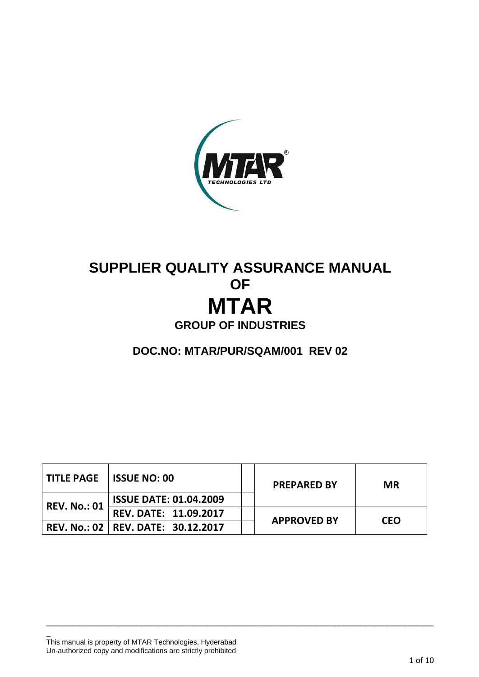

# **SUPPLIER QUALITY ASSURANCE MANUAL OF MTAR GROUP OF INDUSTRIES**

**DOC.NO: MTAR/PUR/SQAM/001 REV 02**

|                     | <b>TITLE PAGE ISSUE NO: 00</b>       | <b>PREPARED BY</b> | <b>MR</b>  |  |
|---------------------|--------------------------------------|--------------------|------------|--|
| <b>REV. No.: 01</b> | <b>ISSUE DATE: 01.04.2009</b>        |                    |            |  |
|                     | <b>REV. DATE: 11.09.2017</b>         |                    |            |  |
|                     | REV. No.: 02   REV. DATE: 30.12.2017 | <b>APPROVED BY</b> | <b>CEO</b> |  |

\_\_\_\_\_\_\_\_\_\_\_\_\_\_\_\_\_\_\_\_\_\_\_\_\_\_\_\_\_\_\_\_\_\_\_\_\_\_\_\_\_\_\_\_\_\_\_\_\_\_\_\_\_\_\_\_\_\_\_\_\_\_\_\_\_\_\_\_\_\_\_\_\_\_\_\_\_\_\_\_\_\_\_\_\_\_\_\_

This manual is property of MTAR Technologies, Hyderabad Un-authorized copy and modifications are strictly prohibited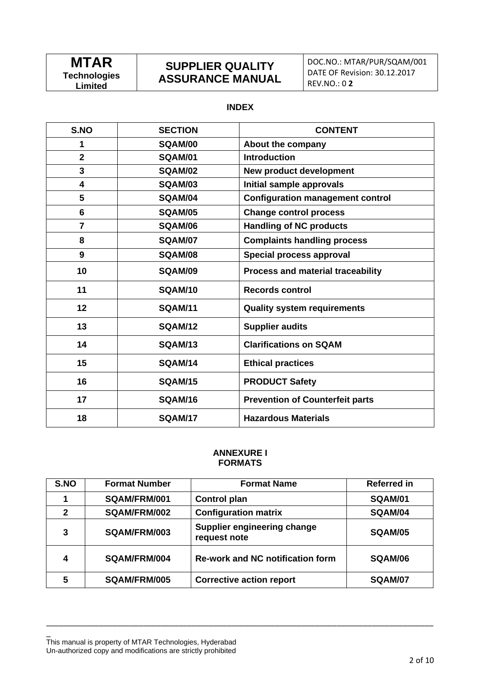## **SUPPLIER QUALITY ASSURANCE MANUAL**

### **INDEX**

| S.NO           | <b>SECTION</b> | <b>CONTENT</b>                           |  |
|----------------|----------------|------------------------------------------|--|
| 1              | SQAM/00        | About the company                        |  |
| $\overline{2}$ | <b>SQAM/01</b> | <b>Introduction</b>                      |  |
| 3              | <b>SQAM/02</b> | New product development                  |  |
| 4              | <b>SQAM/03</b> | Initial sample approvals                 |  |
| 5              | <b>SQAM/04</b> | <b>Configuration management control</b>  |  |
| 6              | <b>SQAM/05</b> | <b>Change control process</b>            |  |
| $\overline{7}$ | <b>SQAM/06</b> | <b>Handling of NC products</b>           |  |
| 8              | <b>SQAM/07</b> | <b>Complaints handling process</b>       |  |
| 9              | <b>SQAM/08</b> | Special process approval                 |  |
| 10             | <b>SQAM/09</b> | <b>Process and material traceability</b> |  |
| 11             | <b>SQAM/10</b> | <b>Records control</b>                   |  |
| 12             | <b>SQAM/11</b> | <b>Quality system requirements</b>       |  |
| 13             | <b>SQAM/12</b> | <b>Supplier audits</b>                   |  |
| 14             | <b>SQAM/13</b> | <b>Clarifications on SQAM</b>            |  |
| 15             | <b>SQAM/14</b> | <b>Ethical practices</b>                 |  |
| 16             | <b>SQAM/15</b> | <b>PRODUCT Safety</b>                    |  |
| 17             | <b>SQAM/16</b> | <b>Prevention of Counterfeit parts</b>   |  |
| 18             | <b>SQAM/17</b> | <b>Hazardous Materials</b>               |  |

#### **ANNEXURE I FORMATS**

| S.NO         | <b>Format Number</b> | <b>Format Name</b>                          | <b>Referred in</b> |
|--------------|----------------------|---------------------------------------------|--------------------|
|              | SQAM/FRM/001         | <b>Control plan</b>                         | <b>SQAM/01</b>     |
| $\mathbf{2}$ | SQAM/FRM/002         | <b>Configuration matrix</b>                 | SQAM/04            |
| 3            | SQAM/FRM/003         | Supplier engineering change<br>request note | SQAM/05            |
| 4            | SQAM/FRM/004         | <b>Re-work and NC notification form</b>     | SQAM/06            |
| 5            | SQAM/FRM/005         | <b>Corrective action report</b>             | <b>SQAM/07</b>     |

\_\_\_\_\_\_\_\_\_\_\_\_\_\_\_\_\_\_\_\_\_\_\_\_\_\_\_\_\_\_\_\_\_\_\_\_\_\_\_\_\_\_\_\_\_\_\_\_\_\_\_\_\_\_\_\_\_\_\_\_\_\_\_\_\_\_\_\_\_\_\_\_\_\_\_\_\_\_\_\_\_\_\_\_\_\_\_\_

This manual is property of MTAR Technologies, Hyderabad Un-authorized copy and modifications are strictly prohibited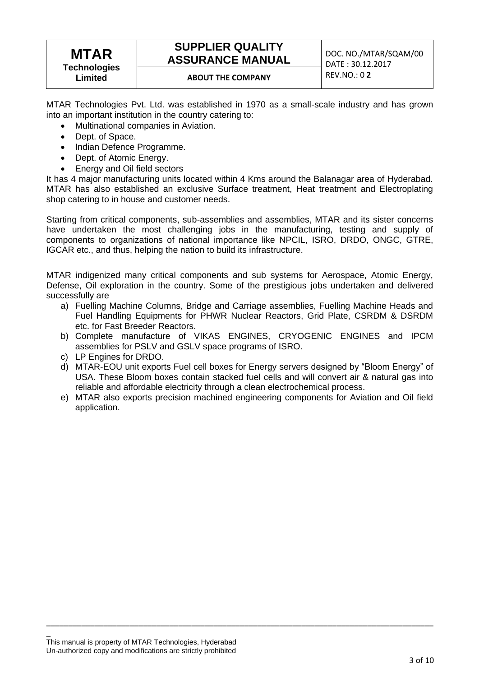## **MTAR Technologies Limited**

## **SUPPLIER QUALITY ASSURANCE MANUAL DOC. NO./MTAR/SQAM/00**

## **ABOUT THE COMPANY** REV.NO.: 0 **2**

MTAR Technologies Pvt. Ltd. was established in 1970 as a small-scale industry and has grown into an important institution in the country catering to:

- Multinational companies in Aviation.
- Dept. of Space.
- Indian Defence Programme.
- Dept. of Atomic Energy.
- Energy and Oil field sectors

It has 4 major manufacturing units located within 4 Kms around the Balanagar area of Hyderabad. MTAR has also established an exclusive Surface treatment, Heat treatment and Electroplating shop catering to in house and customer needs.

Starting from critical components, sub-assemblies and assemblies, MTAR and its sister concerns have undertaken the most challenging jobs in the manufacturing, testing and supply of components to organizations of national importance like NPCIL, ISRO, DRDO, ONGC, GTRE, IGCAR etc., and thus, helping the nation to build its infrastructure.

MTAR indigenized many critical components and sub systems for Aerospace, Atomic Energy, Defense, Oil exploration in the country. Some of the prestigious jobs undertaken and delivered successfully are

- a) Fuelling Machine Columns, Bridge and Carriage assemblies, Fuelling Machine Heads and Fuel Handling Equipments for PHWR Nuclear Reactors, Grid Plate, CSRDM & DSRDM etc. for Fast Breeder Reactors.
- b) Complete manufacture of VIKAS ENGINES, CRYOGENIC ENGINES and IPCM assemblies for PSLV and GSLV space programs of ISRO.
- c) LP Engines for DRDO.
- d) MTAR-EOU unit exports Fuel cell boxes for Energy servers designed by "Bloom Energy" of USA. These Bloom boxes contain stacked fuel cells and will convert air & natural gas into reliable and affordable electricity through a clean electrochemical process.
- e) MTAR also exports precision machined engineering components for Aviation and Oil field application.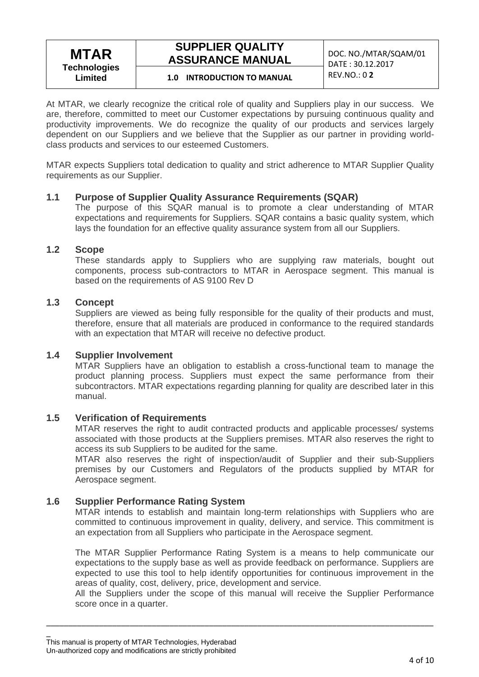## **SUPPLIER QUALITY ASSURANCE MANUAL DOC. NO./MTAR/SQAM/01**

DATE : 30.12.2017

## REV.NO.: 0 **2 1.0 INTRODUCTION TO MANUAL**

At MTAR, we clearly recognize the critical role of quality and Suppliers play in our success. We are, therefore, committed to meet our Customer expectations by pursuing continuous quality and productivity improvements. We do recognize the quality of our products and services largely dependent on our Suppliers and we believe that the Supplier as our partner in providing worldclass products and services to our esteemed Customers.

MTAR expects Suppliers total dedication to quality and strict adherence to MTAR Supplier Quality requirements as our Supplier.

## **1.1 Purpose of Supplier Quality Assurance Requirements (SQAR)**

The purpose of this SQAR manual is to promote a clear understanding of MTAR expectations and requirements for Suppliers. SQAR contains a basic quality system, which lays the foundation for an effective quality assurance system from all our Suppliers.

### **1.2 Scope**

These standards apply to Suppliers who are supplying raw materials, bought out components, process sub-contractors to MTAR in Aerospace segment. This manual is based on the requirements of AS 9100 Rev D

### **1.3 Concept**

Suppliers are viewed as being fully responsible for the quality of their products and must, therefore, ensure that all materials are produced in conformance to the required standards with an expectation that MTAR will receive no defective product.

## **1.4 Supplier Involvement**

MTAR Suppliers have an obligation to establish a cross-functional team to manage the product planning process. Suppliers must expect the same performance from their subcontractors. MTAR expectations regarding planning for quality are described later in this manual.

## **1.5 Verification of Requirements**

MTAR reserves the right to audit contracted products and applicable processes/ systems associated with those products at the Suppliers premises. MTAR also reserves the right to access its sub Suppliers to be audited for the same.

MTAR also reserves the right of inspection/audit of Supplier and their sub-Suppliers premises by our Customers and Regulators of the products supplied by MTAR for Aerospace segment.

## **1.6 Supplier Performance Rating System**

MTAR intends to establish and maintain long-term relationships with Suppliers who are committed to continuous improvement in quality, delivery, and service. This commitment is an expectation from all Suppliers who participate in the Aerospace segment.

The MTAR Supplier Performance Rating System is a means to help communicate our expectations to the supply base as well as provide feedback on performance. Suppliers are expected to use this tool to help identify opportunities for continuous improvement in the areas of quality, cost, delivery, price, development and service.

All the Suppliers under the scope of this manual will receive the Supplier Performance score once in a quarter.

\_ This manual is property of MTAR Technologies, Hyderabad Un-authorized copy and modifications are strictly prohibited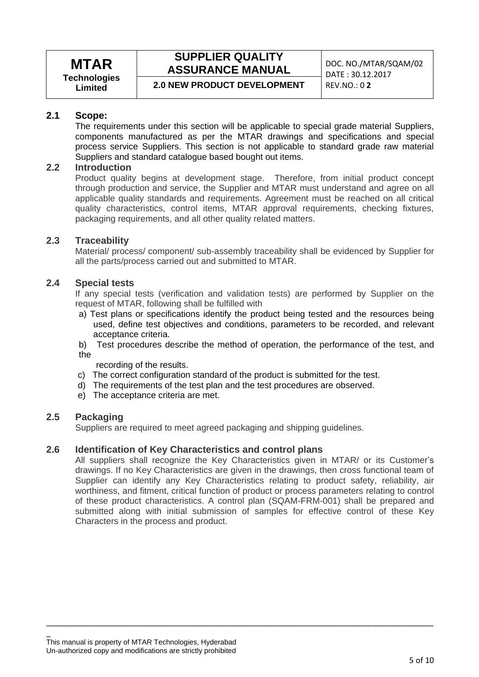## **SUPPLIER QUALITY ASSURANCE MANUAL DOC. NO./MTAR/SQAM/02**

**2.0 NEW PRODUCT DEVELOPMENT** 

DATE :  $30.12.2017$ <br>REV NO : 0 2

## **2.1 Scope:**

The requirements under this section will be applicable to special grade material Suppliers, components manufactured as per the MTAR drawings and specifications and special process service Suppliers. This section is not applicable to standard grade raw material Suppliers and standard catalogue based bought out items.

## **2.2 Introduction**

Product quality begins at development stage. Therefore, from initial product concept through production and service, the Supplier and MTAR must understand and agree on all applicable quality standards and requirements. Agreement must be reached on all critical quality characteristics, control items, MTAR approval requirements, checking fixtures, packaging requirements, and all other quality related matters.

## **2.3 Traceability**

Material/ process/ component/ sub-assembly traceability shall be evidenced by Supplier for all the parts/process carried out and submitted to MTAR.

### **2.4 Special tests**

If any special tests (verification and validation tests) are performed by Supplier on the request of MTAR, following shall be fulfilled with

- a) Test plans or specifications identify the product being tested and the resources being used, define test objectives and conditions, parameters to be recorded, and relevant acceptance criteria.
- b) Test procedures describe the method of operation, the performance of the test, and the

recording of the results.

- c) The correct configuration standard of the product is submitted for the test.
- d) The requirements of the test plan and the test procedures are observed.
- e) The acceptance criteria are met.

### **2.5 Packaging**

Suppliers are required to meet agreed packaging and shipping guidelines.

## **2.6 Identification of Key Characteristics and control plans**

All suppliers shall recognize the Key Characteristics given in MTAR/ or its Customer's drawings. If no Key Characteristics are given in the drawings, then cross functional team of Supplier can identify any Key Characteristics relating to product safety, reliability, air worthiness, and fitment, critical function of product or process parameters relating to control of these product characteristics. A control plan (SQAM-FRM-001) shall be prepared and submitted along with initial submission of samples for effective control of these Key Characters in the process and product.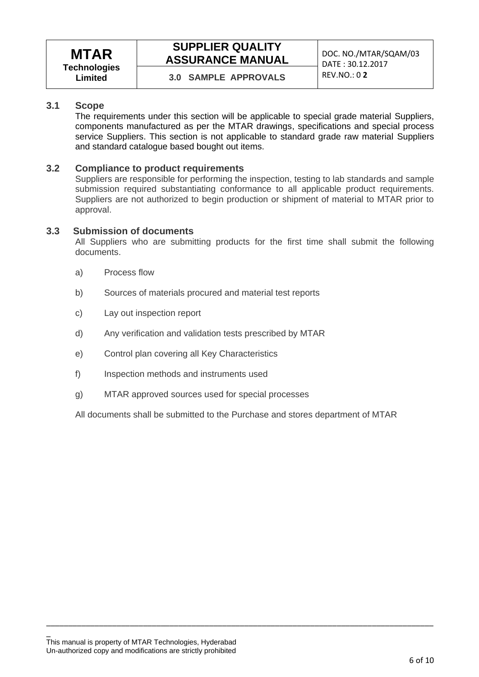## **SUPPLIER QUALITY ASSURANCE MANUAL DOC. NO./MTAR/SQAM/03**

## **3.1 Scope**

The requirements under this section will be applicable to special grade material Suppliers, components manufactured as per the MTAR drawings, specifications and special process service Suppliers. This section is not applicable to standard grade raw material Suppliers and standard catalogue based bought out items.

### **3.2 Compliance to product requirements**

Suppliers are responsible for performing the inspection, testing to lab standards and sample submission required substantiating conformance to all applicable product requirements. Suppliers are not authorized to begin production or shipment of material to MTAR prior to approval.

### **3.3 Submission of documents**

All Suppliers who are submitting products for the first time shall submit the following documents.

- a) Process flow
- b) Sources of materials procured and material test reports
- c) Lay out inspection report
- d) Any verification and validation tests prescribed by MTAR
- e) Control plan covering all Key Characteristics
- f) Inspection methods and instruments used
- g) MTAR approved sources used for special processes

All documents shall be submitted to the Purchase and stores department of MTAR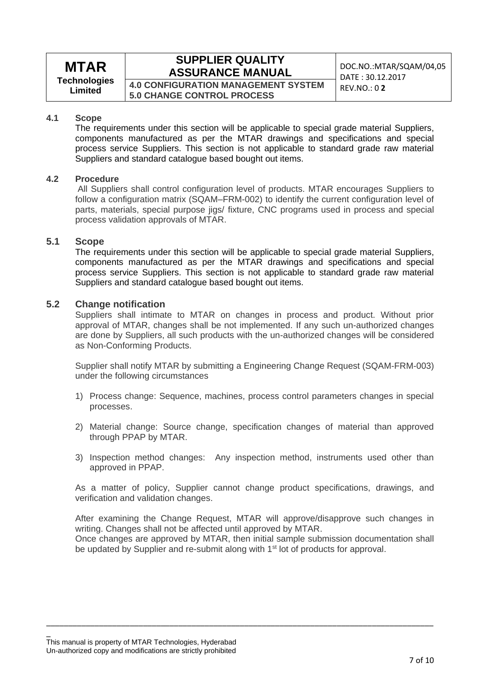## **MTAR Technologies**

**Limited**

## **SUPPLIER QUALITY ASSURANCE MANUAL** DOC.NO.:MTAR/SQAM/04,05

**4.0 CONFIGURATION MANAGEMENT SYSTEM 5.0 CHANGE CONTROL PROCESS**

DATE : 30.12.2017 REV.NO.: 0 **2**

#### **4.1 Scope**

The requirements under this section will be applicable to special grade material Suppliers, components manufactured as per the MTAR drawings and specifications and special process service Suppliers. This section is not applicable to standard grade raw material Suppliers and standard catalogue based bought out items.

#### **4.2 Procedure**

All Suppliers shall control configuration level of products. MTAR encourages Suppliers to follow a configuration matrix (SQAM–FRM-002) to identify the current configuration level of parts, materials, special purpose jigs/ fixture, CNC programs used in process and special process validation approvals of MTAR.

#### **5.1 Scope**

The requirements under this section will be applicable to special grade material Suppliers, components manufactured as per the MTAR drawings and specifications and special process service Suppliers. This section is not applicable to standard grade raw material Suppliers and standard catalogue based bought out items.

### **5.2 Change notification**

Suppliers shall intimate to MTAR on changes in process and product. Without prior approval of MTAR, changes shall be not implemented. If any such un-authorized changes are done by Suppliers, all such products with the un-authorized changes will be considered as Non-Conforming Products.

Supplier shall notify MTAR by submitting a Engineering Change Request (SQAM-FRM-003) under the following circumstances

- 1) Process change: Sequence, machines, process control parameters changes in special processes.
- 2) Material change: Source change, specification changes of material than approved through PPAP by MTAR.
- 3) Inspection method changes: Any inspection method, instruments used other than approved in PPAP.

As a matter of policy, Supplier cannot change product specifications, drawings, and verification and validation changes.

After examining the Change Request, MTAR will approve/disapprove such changes in writing. Changes shall not be affected until approved by MTAR.

Once changes are approved by MTAR, then initial sample submission documentation shall be updated by Supplier and re-submit along with 1<sup>st</sup> lot of products for approval.

\_\_\_\_\_\_\_\_\_\_\_\_\_\_\_\_\_\_\_\_\_\_\_\_\_\_\_\_\_\_\_\_\_\_\_\_\_\_\_\_\_\_\_\_\_\_\_\_\_\_\_\_\_\_\_\_\_\_\_\_\_\_\_\_\_\_\_\_\_\_\_\_\_\_\_\_\_\_\_\_\_\_\_\_\_\_\_\_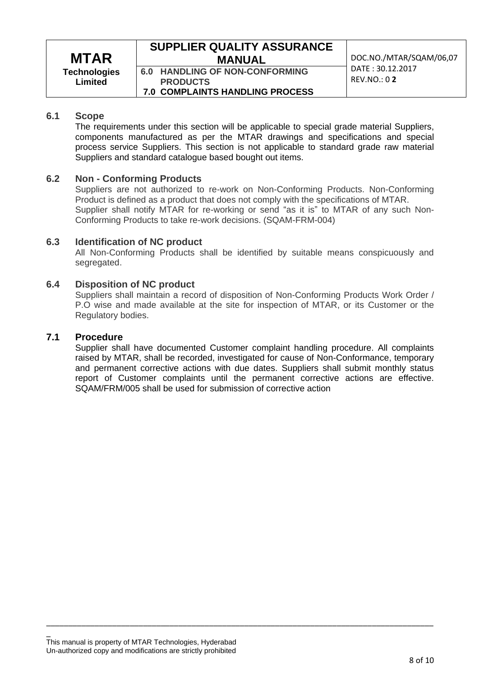## **SUPPLIER QUALITY ASSURANCE MANUAL** DOC.NO./MTAR/SQAM/06,07

**6.0 HANDLING OF NON-CONFORMING PRODUCTS 7.0 COMPLAINTS HANDLING PROCESS** DATE : 30.12.2017 REV.NO.: 0 **2**

### **6.1 Scope**

The requirements under this section will be applicable to special grade material Suppliers, components manufactured as per the MTAR drawings and specifications and special process service Suppliers. This section is not applicable to standard grade raw material Suppliers and standard catalogue based bought out items.

### **6.2 Non - Conforming Products**

Suppliers are not authorized to re-work on Non-Conforming Products. Non-Conforming Product is defined as a product that does not comply with the specifications of MTAR. Supplier shall notify MTAR for re-working or send "as it is" to MTAR of any such Non-Conforming Products to take re-work decisions. (SQAM-FRM-004)

### **6.3 Identification of NC product**

All Non-Conforming Products shall be identified by suitable means conspicuously and segregated.

### **6.4 Disposition of NC product**

Suppliers shall maintain a record of disposition of Non-Conforming Products Work Order / P.O wise and made available at the site for inspection of MTAR, or its Customer or the Regulatory bodies.

#### **7.1 Procedure**

\_

Supplier shall have documented Customer complaint handling procedure. All complaints raised by MTAR, shall be recorded, investigated for cause of Non-Conformance, temporary and permanent corrective actions with due dates. Suppliers shall submit monthly status report of Customer complaints until the permanent corrective actions are effective. SQAM/FRM/005 shall be used for submission of corrective action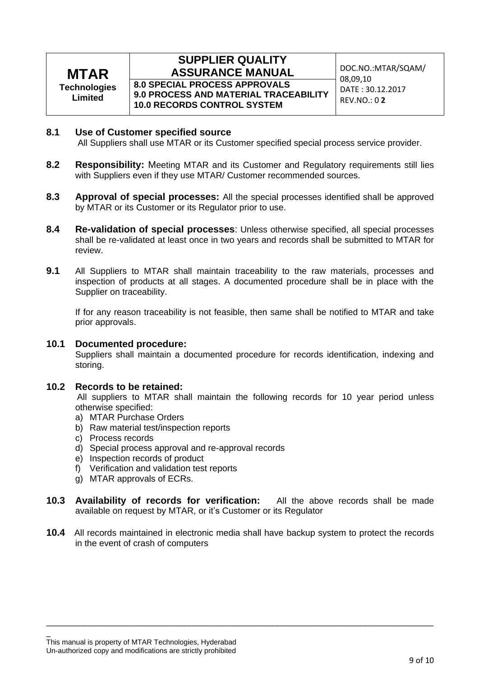## **MTAR Technologies Limited**

### **SUPPLIER QUALITY ASSURANCE MANUAL DOC.NO.:MTAR/SQAM/ 8.0 SPECIAL PROCESS APPROVALS**

**9.0 PROCESS AND MATERIAL TRACEABILITY 10.0 RECORDS CONTROL SYSTEM**

08,09,10 DATE : 30.12.2017 REV.NO.: 0 **2**

### **8.1 Use of Customer specified source**

All Suppliers shall use MTAR or its Customer specified special process service provider.

- **8.2 Responsibility:** Meeting MTAR and its Customer and Regulatory requirements still lies with Suppliers even if they use MTAR/ Customer recommended sources.
- **8.3 Approval of special processes:** All the special processes identified shall be approved by MTAR or its Customer or its Regulator prior to use.
- **8.4 Re-validation of special processes**: Unless otherwise specified, all special processes shall be re-validated at least once in two years and records shall be submitted to MTAR for review.
- **9.1** All Suppliers to MTAR shall maintain traceability to the raw materials, processes and inspection of products at all stages. A documented procedure shall be in place with the Supplier on traceability.

If for any reason traceability is not feasible, then same shall be notified to MTAR and take prior approvals.

### **10.1 Documented procedure:**

Suppliers shall maintain a documented procedure for records identification, indexing and storing.

### **10.2 Records to be retained:**

All suppliers to MTAR shall maintain the following records for 10 year period unless otherwise specified:

- a) MTAR Purchase Orders
- b) Raw material test/inspection reports
- c) Process records
- d) Special process approval and re-approval records
- e) Inspection records of product
- f) Verification and validation test reports
- g) MTAR approvals of ECRs.
- **10.3 Availability of records for verification:** All the above records shall be made available on request by MTAR, or it's Customer or its Regulator
- **10.4** All records maintained in electronic media shall have backup system to protect the records in the event of crash of computers

\_\_\_\_\_\_\_\_\_\_\_\_\_\_\_\_\_\_\_\_\_\_\_\_\_\_\_\_\_\_\_\_\_\_\_\_\_\_\_\_\_\_\_\_\_\_\_\_\_\_\_\_\_\_\_\_\_\_\_\_\_\_\_\_\_\_\_\_\_\_\_\_\_\_\_\_\_\_\_\_\_\_\_\_\_\_\_\_